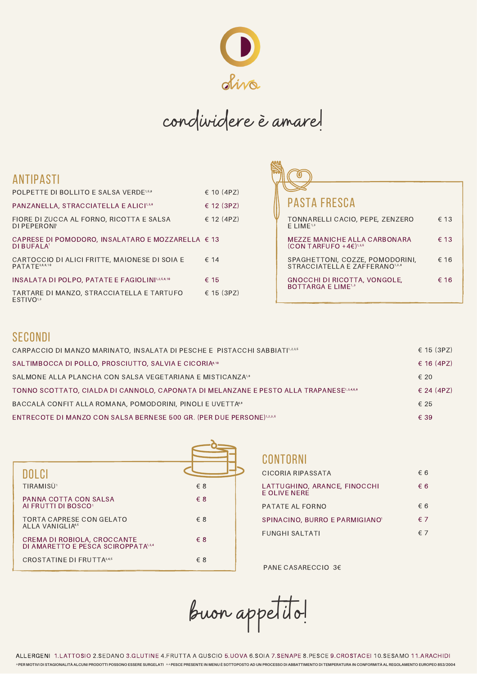

# condividere è amare!

# ANTIPASTI

| POLPETTE DI BOLLITO E SALSA VERDE <sup>1,5,8</sup>                          | € 10 (4PZ)     |
|-----------------------------------------------------------------------------|----------------|
| PANZANELLA, STRACCIATELLA E ALICI1,3,8                                      | $\in$ 12 (3PZ) |
| FIORE DI ZUCCA AL FORNO, RICOTTA E SALSA<br>DI PEPERONI'                    | $\in$ 12 (4PZ) |
| CAPRESE DI POMODORO, INSALATARO E MOZZARELLA € 13<br>DI BUFALA              |                |
| CARTOCCIO DI ALICI FRITTE, MAIONESE DI SOIA E<br>PATATE <sup>3,6,8,10</sup> | $\epsilon$ 14  |
| <b>INSALATA DI POLPO, PATATE E FAGIOLINI1.2.5.8.10</b>                      | € 15           |
| TARTARE DI MANZO, STRACCIATELLA E TARTUFO<br><b>FSTIVO</b> 1,3              | $\in$ 15 (3PZ) |

| <b>PASTA FRESCA</b>                                               |               |
|-------------------------------------------------------------------|---------------|
| TONNARELLI CACIO, PEPE, ZENZERO<br>$E$ LIME <sup>1,3</sup>        | $\epsilon$ 13 |
| MEZZE MANICHE ALLA CARBONARA<br>$(CON TARFUPO + 4E)^{1,3,5}$      | $\epsilon$ 13 |
| SPAGHETTONI, COZZE, POMODORINI,<br>STRACCIATELLA E ZAFFERANO1,3,8 | € 16          |
| GNOCCHI DI RICOTTA, VONGOLE,<br><b>BOTTARGA E LIME13</b>          | € 16          |
|                                                                   |               |

# **SECONDI**

| $\epsilon$ 15 (3PZ)<br>CARPACCIO DI MANZO MARINATO, INSALATA DI PESCHE E PISTACCHI SABBIATI <sup>1,2,3,5</sup> |  |
|----------------------------------------------------------------------------------------------------------------|--|
| € 16 (4PZ)<br>SALTIMBOCCA DI POLLO, PROSCIUTTO, SALVIA E CICORIA <sup>8.10</sup>                               |  |
| SALMONE ALLA PLANCHA CON SALSA VEGETARIANA E MISTICANZA <sup>18</sup><br>$\epsilon$ 20                         |  |
| $\in$ 24 (4PZ)<br>TONNO SCOTTATO, CIALDA DI CANNOLO, CAPONATA DI MELANZANE E PESTO ALLA TRAPANESE13.46.8       |  |
| BACCALÀ CONFIT ALLA ROMANA, POMODORINI, PINOLI E UVETTA48<br>€ 25                                              |  |
| ENTRECOTE DI MANZO CON SALSA BERNESE 500 GR. (PER DUE PERSONE)1.2.3.5<br>€ 39                                  |  |

| DOLCI                                                              |              |
|--------------------------------------------------------------------|--------------|
| TIRAMISÙ <sup>1</sup>                                              | $\epsilon$ 8 |
| PANNA COTTA CON SALSA<br>AI FRUTTI DI BOSCO <sup>®</sup>           | $\epsilon$ 8 |
| <b>TORTA CAPRESE CON GELATO</b><br>AI I A VANIGI IA4,5             | $\xi$ 8      |
| CREMA DI ROBIOLA, CROCCANTE<br>DI AMARETTO E PESCA SCIROPPATA1.3.4 | $\epsilon$ 8 |
| CROSTATINE DI FRUTTA3.4,5                                          | € 8          |

#### CONTORNI

| CICORIA RIPASSATA                            | €6           |
|----------------------------------------------|--------------|
| LATTUGHINO, ARANCE, FINOCCHI<br>E OLIVE NERE | € 6          |
| PATATE AL FORNO                              | € 6          |
| SPINACINO, BURRO E PARMIGIANO <sup>®</sup>   | $\epsilon$ 7 |
| <b>FUNGHI SALTATI</b>                        |              |

PANE CASARECCIO 3€

buon appetito!